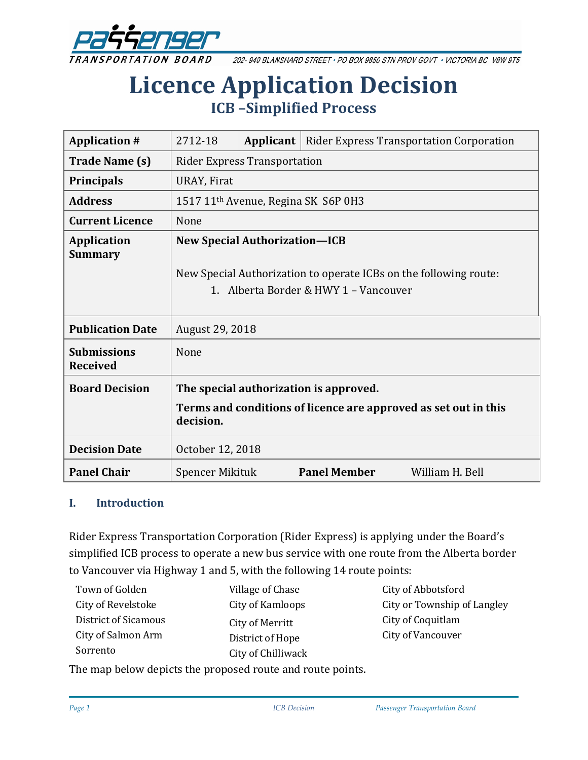

202-940 BLANSHARD STREET · PO BOX 9850 STN PROV GOVT · VICTORIA BC V8W 9T5

# **Licence Application Decision ICB –Simplified Process**

| <b>Application #</b>                  | 2712-18                                                                      | Applicant | <b>Rider Express Transportation Corporation</b>                                                            |                 |
|---------------------------------------|------------------------------------------------------------------------------|-----------|------------------------------------------------------------------------------------------------------------|-----------------|
| <b>Trade Name (s)</b>                 | <b>Rider Express Transportation</b>                                          |           |                                                                                                            |                 |
| <b>Principals</b>                     | URAY, Firat                                                                  |           |                                                                                                            |                 |
| <b>Address</b>                        | 1517 11 <sup>th</sup> Avenue, Regina SK S6P 0H3                              |           |                                                                                                            |                 |
| <b>Current Licence</b>                | None                                                                         |           |                                                                                                            |                 |
| <b>Application</b><br><b>Summary</b>  | <b>New Special Authorization-ICB</b>                                         |           |                                                                                                            |                 |
|                                       |                                                                              |           | New Special Authorization to operate ICBs on the following route:<br>1. Alberta Border & HWY 1 - Vancouver |                 |
| <b>Publication Date</b>               | August 29, 2018                                                              |           |                                                                                                            |                 |
| <b>Submissions</b><br><b>Received</b> | None                                                                         |           |                                                                                                            |                 |
| <b>Board Decision</b>                 | The special authorization is approved.                                       |           |                                                                                                            |                 |
|                                       | Terms and conditions of licence are approved as set out in this<br>decision. |           |                                                                                                            |                 |
| <b>Decision Date</b>                  | October 12, 2018                                                             |           |                                                                                                            |                 |
| <b>Panel Chair</b>                    | Spencer Mikituk                                                              |           | <b>Panel Member</b>                                                                                        | William H. Bell |

#### **I. Introduction**

Rider Express Transportation Corporation (Rider Express) is applying under the Board's simplified ICB process to operate a new bus service with one route from the Alberta border to Vancouver via Highway 1 and 5, with the following 14 route points:

| Town of Golden       | Village of Chase   |
|----------------------|--------------------|
| City of Revelstoke   | City of Kamloops   |
| District of Sicamous | City of Merritt    |
| City of Salmon Arm   | District of Hope   |
| Sorrento             | City of Chilliwack |

City of Abbotsford City or Township of Langley City of Coquitlam City of Vancouver

The map below depicts the proposed route and route points.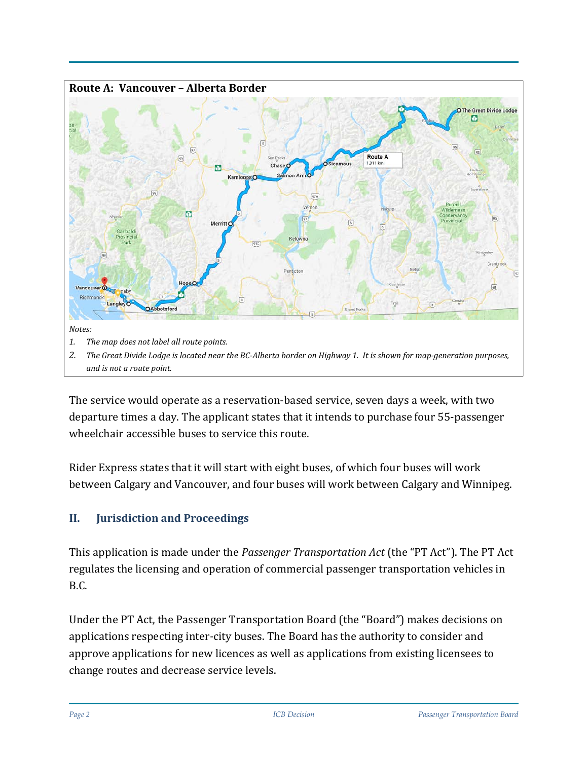

The service would operate as a reservation-based service, seven days a week, with two departure times a day. The applicant states that it intends to purchase four 55-passenger wheelchair accessible buses to service this route.

Rider Express states that it will start with eight buses, of which four buses will work between Calgary and Vancouver, and four buses will work between Calgary and Winnipeg.

# **II. Jurisdiction and Proceedings**

This application is made under the *Passenger Transportation Act* (the "PT Act"). The PT Act regulates the licensing and operation of commercial passenger transportation vehicles in B.C.

Under the PT Act, the Passenger Transportation Board (the "Board") makes decisions on applications respecting inter-city buses. The Board has the authority to consider and approve applications for new licences as well as applications from existing licensees to change routes and decrease service levels.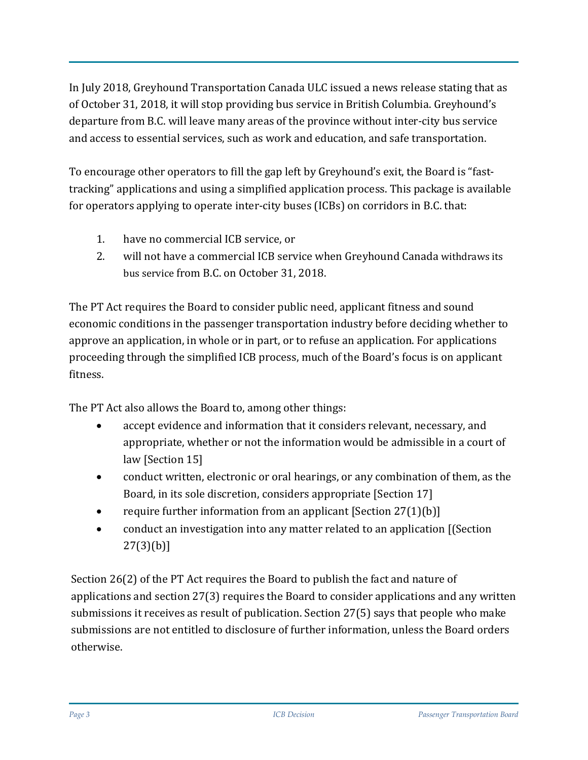In July 2018, Greyhound Transportation Canada ULC issued a news release stating that as of October 31, 2018, it will stop providing bus service in British Columbia. Greyhound's departure from B.C. will leave many areas of the province without inter-city bus service and access to essential services, such as work and education, and safe transportation.

To encourage other operators to fill the gap left by Greyhound's exit, the Board is "fasttracking" applications and using a simplified application process. This package is available for operators applying to operate inter-city buses (ICBs) on corridors in B.C. that:

- 1. have no commercial ICB service, or
- 2. will not have a commercial ICB service when Greyhound Canada [withdraws its](https://www.newswire.ca/news-releases/greyhound-canada-to-downsize-its-canadian-business-based-on-a-41-decline-in-ridership-since-2010-687687091.html)  [bus service](https://www.newswire.ca/news-releases/greyhound-canada-to-downsize-its-canadian-business-based-on-a-41-decline-in-ridership-since-2010-687687091.html) from B.C. on October 31, 2018.

The PT Act requires the Board to consider public need, applicant fitness and sound economic conditions in the passenger transportation industry before deciding whether to approve an application, in whole or in part, or to refuse an application. For applications proceeding through the simplified ICB process, much of the Board's focus is on applicant fitness.

The PT Act also allows the Board to, among other things:

- accept evidence and information that it considers relevant, necessary, and appropriate, whether or not the information would be admissible in a court of law [Section 15]
- conduct written, electronic or oral hearings, or any combination of them, as the Board, in its sole discretion, considers appropriate [Section 17]
- require further information from an applicant  $[Section 27(1)(b)]$
- conduct an investigation into any matter related to an application [(Section  $27(3)(b)$ ]

Section 26(2) of the PT Act requires the Board to publish the fact and nature of applications and section 27(3) requires the Board to consider applications and any written submissions it receives as result of publication. Section 27(5) says that people who make submissions are not entitled to disclosure of further information, unless the Board orders otherwise.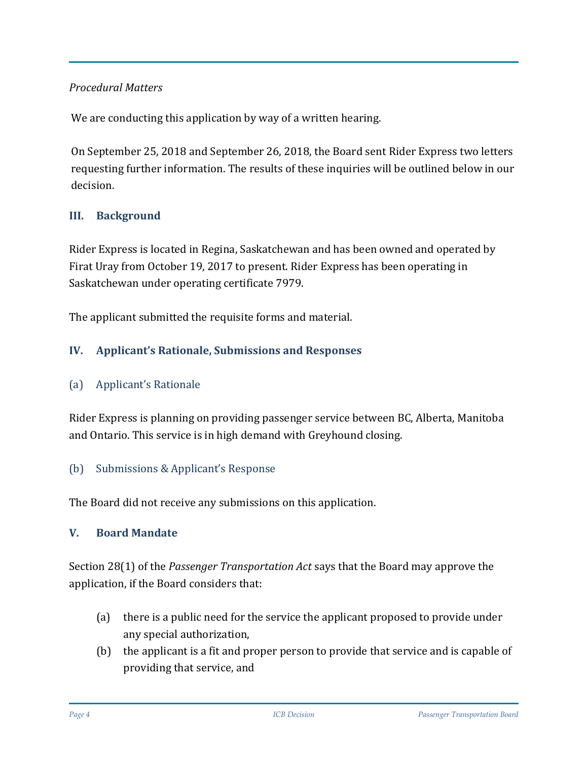## *Procedural Matters*

We are conducting this application by way of a written hearing.

On September 25, 2018 and September 26, 2018, the Board sent Rider Express two letters requesting further information. The results of these inquiries will be outlined below in our decision.

# **III. Background**

Rider Express is located in Regina, Saskatchewan and has been owned and operated by Firat Uray from October 19, 2017 to present. Rider Express has been operating in Saskatchewan under operating certificate 7979.

The applicant submitted the requisite forms and material.

## **IV. Applicant's Rationale, Submissions and Responses**

#### (a) Applicant's Rationale

Rider Express is planning on providing passenger service between BC, Alberta, Manitoba and Ontario. This service is in high demand with Greyhound closing.

#### (b) Submissions & Applicant's Response

The Board did not receive any submissions on this application.

#### **V. Board Mandate**

Section 28(1) of the *Passenger Transportation Act* says that the Board may approve the application, if the Board considers that:

- (a) there is a public need for the service the applicant proposed to provide under any special authorization,
- (b) the applicant is a fit and proper person to provide that service and is capable of providing that service, and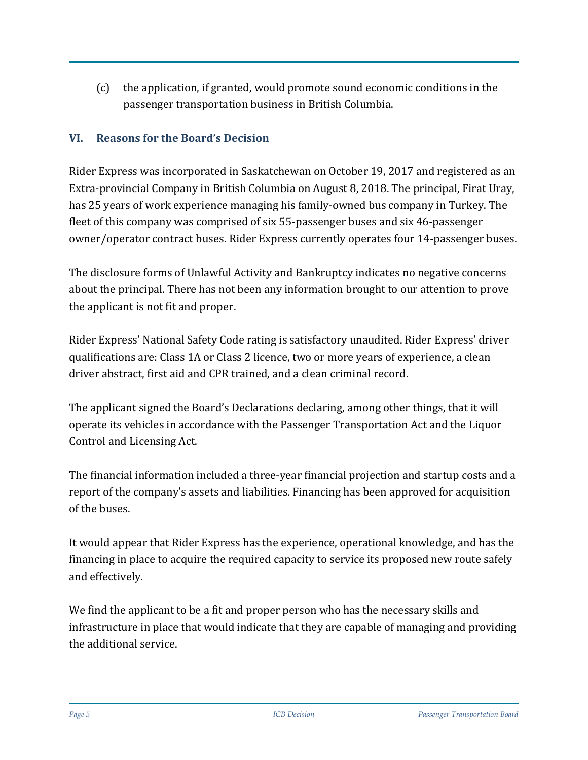(c) the application, if granted, would promote sound economic conditions in the passenger transportation business in British Columbia.

## **VI. Reasons for the Board's Decision**

Rider Express was incorporated in Saskatchewan on October 19, 2017 and registered as an Extra-provincial Company in British Columbia on August 8, 2018. The principal, Firat Uray, has 25 years of work experience managing his family-owned bus company in Turkey. The fleet of this company was comprised of six 55-passenger buses and six 46-passenger owner/operator contract buses. Rider Express currently operates four 14-passenger buses.

The disclosure forms of Unlawful Activity and Bankruptcy indicates no negative concerns about the principal. There has not been any information brought to our attention to prove the applicant is not fit and proper.

Rider Express' National Safety Code rating is satisfactory unaudited. Rider Express' driver qualifications are: Class 1A or Class 2 licence, two or more years of experience, a clean driver abstract, first aid and CPR trained, and a clean criminal record.

The applicant signed the Board's Declarations declaring, among other things, that it will operate its vehicles in accordance with the Passenger Transportation Act and the Liquor Control and Licensing Act.

The financial information included a three-year financial projection and startup costs and a report of the company's assets and liabilities. Financing has been approved for acquisition of the buses.

It would appear that Rider Express has the experience, operational knowledge, and has the financing in place to acquire the required capacity to service its proposed new route safely and effectively.

We find the applicant to be a fit and proper person who has the necessary skills and infrastructure in place that would indicate that they are capable of managing and providing the additional service.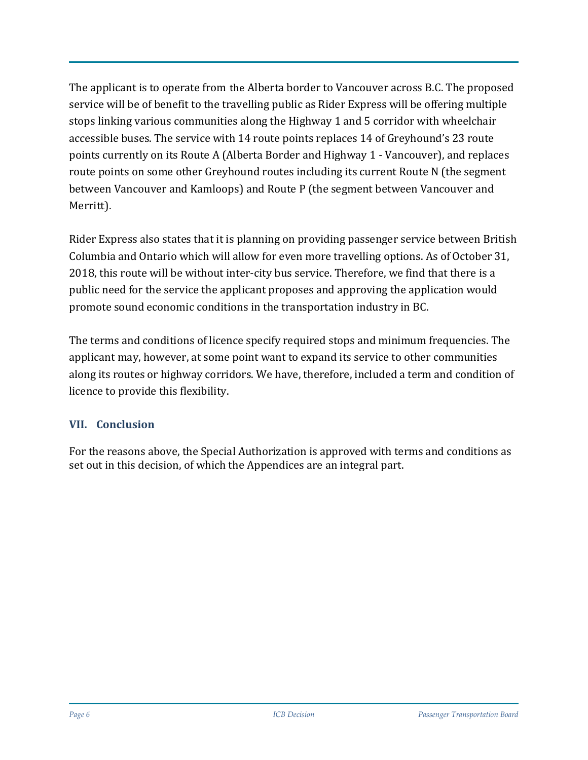The applicant is to operate from the Alberta border to Vancouver across B.C. The proposed service will be of benefit to the travelling public as Rider Express will be offering multiple stops linking various communities along the Highway 1 and 5 corridor with wheelchair accessible buses. The service with 14 route points replaces 14 of Greyhound's 23 route points currently on its Route A (Alberta Border and Highway 1 - Vancouver), and replaces route points on some other Greyhound routes including its current Route N (the segment between Vancouver and Kamloops) and Route P (the segment between Vancouver and Merritt).

Rider Express also states that it is planning on providing passenger service between British Columbia and Ontario which will allow for even more travelling options. As of October 31, 2018, this route will be without inter-city bus service. Therefore, we find that there is a public need for the service the applicant proposes and approving the application would promote sound economic conditions in the transportation industry in BC.

The terms and conditions of licence specify required stops and minimum frequencies. The applicant may, however, at some point want to expand its service to other communities along its routes or highway corridors. We have, therefore, included a term and condition of licence to provide this flexibility.

#### **VII. Conclusion**

For the reasons above, the Special Authorization is approved with terms and conditions as set out in this decision, of which the Appendices are an integral part.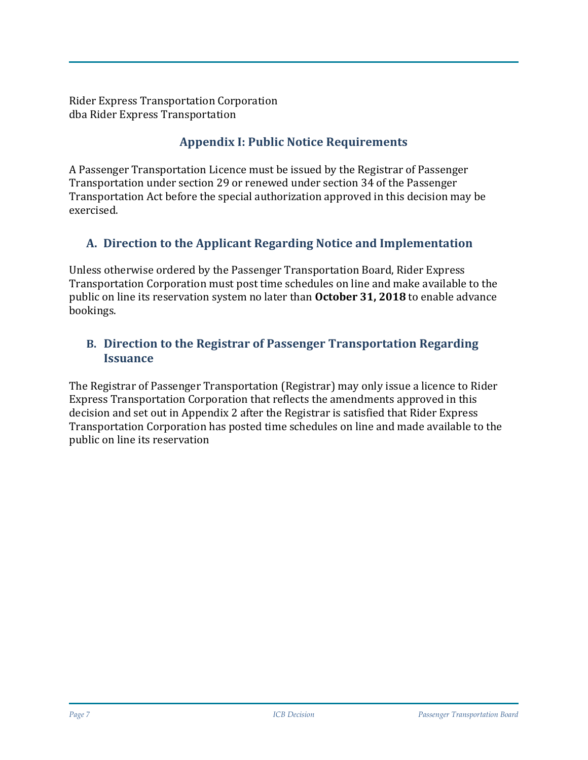Rider Express Transportation Corporation dba Rider Express Transportation

# **Appendix I: Public Notice Requirements**

A Passenger Transportation Licence must be issued by the Registrar of Passenger Transportation under section 29 or renewed under section 34 of the Passenger Transportation Act before the special authorization approved in this decision may be exercised.

# **A. Direction to the Applicant Regarding Notice and Implementation**

Unless otherwise ordered by the Passenger Transportation Board, Rider Express Transportation Corporation must post time schedules on line and make available to the public on line its reservation system no later than **October 31, 2018** to enable advance bookings.

# **B. Direction to the Registrar of Passenger Transportation Regarding Issuance**

The Registrar of Passenger Transportation (Registrar) may only issue a licence to Rider Express Transportation Corporation that reflects the amendments approved in this decision and set out in Appendix 2 after the Registrar is satisfied that Rider Express Transportation Corporation has posted time schedules on line and made available to the public on line its reservation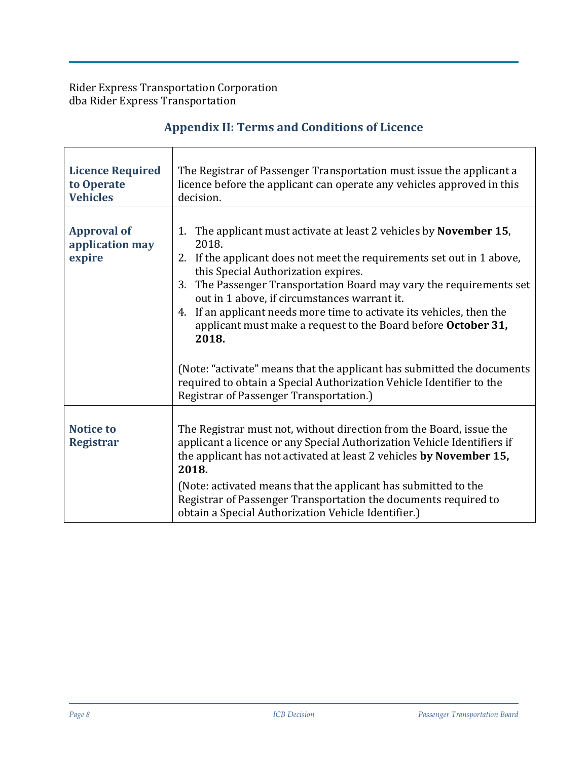Rider Express Transportation Corporation dba Rider Express Transportation

 $\Gamma$ 

# **Appendix II: Terms and Conditions of Licence**

| <b>Licence Required</b><br>to Operate<br><b>Vehicles</b> | The Registrar of Passenger Transportation must issue the applicant a<br>licence before the applicant can operate any vehicles approved in this<br>decision.                                                                                                                                                                                                                                                                                                                                                                                                                                                                            |  |  |
|----------------------------------------------------------|----------------------------------------------------------------------------------------------------------------------------------------------------------------------------------------------------------------------------------------------------------------------------------------------------------------------------------------------------------------------------------------------------------------------------------------------------------------------------------------------------------------------------------------------------------------------------------------------------------------------------------------|--|--|
| <b>Approval of</b><br>application may<br>expire          | 1. The applicant must activate at least 2 vehicles by <b>November 15</b> ,<br>2018.<br>2. If the applicant does not meet the requirements set out in 1 above,<br>this Special Authorization expires.<br>The Passenger Transportation Board may vary the requirements set<br>3.<br>out in 1 above, if circumstances warrant it.<br>If an applicant needs more time to activate its vehicles, then the<br>4.<br>applicant must make a request to the Board before October 31,<br>2018.<br>(Note: "activate" means that the applicant has submitted the documents<br>required to obtain a Special Authorization Vehicle Identifier to the |  |  |
|                                                          | Registrar of Passenger Transportation.)                                                                                                                                                                                                                                                                                                                                                                                                                                                                                                                                                                                                |  |  |
| <b>Notice to</b><br><b>Registrar</b>                     | The Registrar must not, without direction from the Board, issue the<br>applicant a licence or any Special Authorization Vehicle Identifiers if<br>the applicant has not activated at least 2 vehicles by November 15,<br>2018.<br>(Note: activated means that the applicant has submitted to the                                                                                                                                                                                                                                                                                                                                       |  |  |
|                                                          | Registrar of Passenger Transportation the documents required to<br>obtain a Special Authorization Vehicle Identifier.)                                                                                                                                                                                                                                                                                                                                                                                                                                                                                                                 |  |  |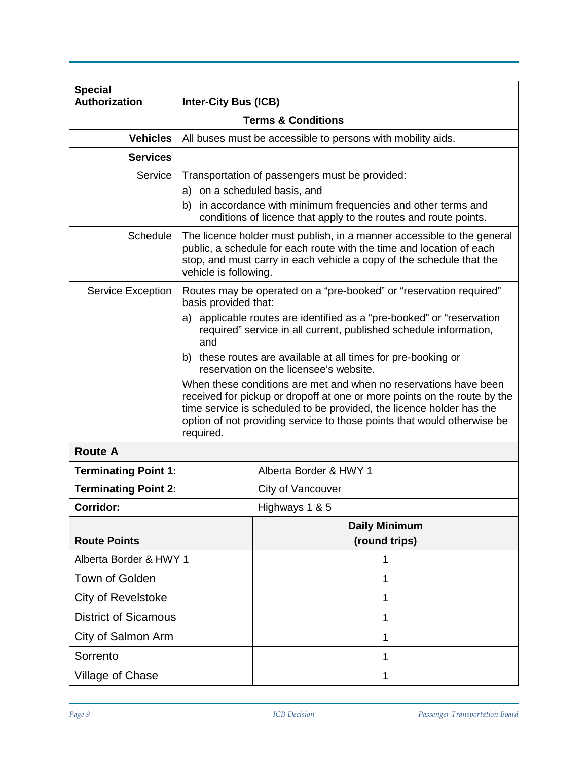| <b>Special</b>              |                                                                                                                                                                                                                                                 |                                                                                                                                                                                                                                                                                                 |  |  |
|-----------------------------|-------------------------------------------------------------------------------------------------------------------------------------------------------------------------------------------------------------------------------------------------|-------------------------------------------------------------------------------------------------------------------------------------------------------------------------------------------------------------------------------------------------------------------------------------------------|--|--|
| <b>Authorization</b>        | <b>Inter-City Bus (ICB)</b><br><b>Terms &amp; Conditions</b>                                                                                                                                                                                    |                                                                                                                                                                                                                                                                                                 |  |  |
|                             |                                                                                                                                                                                                                                                 |                                                                                                                                                                                                                                                                                                 |  |  |
| <b>Vehicles</b>             | All buses must be accessible to persons with mobility aids.                                                                                                                                                                                     |                                                                                                                                                                                                                                                                                                 |  |  |
| <b>Services</b>             |                                                                                                                                                                                                                                                 |                                                                                                                                                                                                                                                                                                 |  |  |
| Service                     | Transportation of passengers must be provided:                                                                                                                                                                                                  |                                                                                                                                                                                                                                                                                                 |  |  |
|                             | a) on a scheduled basis, and                                                                                                                                                                                                                    | b) in accordance with minimum frequencies and other terms and                                                                                                                                                                                                                                   |  |  |
|                             |                                                                                                                                                                                                                                                 | conditions of licence that apply to the routes and route points.                                                                                                                                                                                                                                |  |  |
| Schedule                    | The licence holder must publish, in a manner accessible to the general<br>public, a schedule for each route with the time and location of each<br>stop, and must carry in each vehicle a copy of the schedule that the<br>vehicle is following. |                                                                                                                                                                                                                                                                                                 |  |  |
| <b>Service Exception</b>    | Routes may be operated on a "pre-booked" or "reservation required"<br>basis provided that:                                                                                                                                                      |                                                                                                                                                                                                                                                                                                 |  |  |
|                             | and                                                                                                                                                                                                                                             | a) applicable routes are identified as a "pre-booked" or "reservation<br>required" service in all current, published schedule information,                                                                                                                                                      |  |  |
|                             |                                                                                                                                                                                                                                                 | b) these routes are available at all times for pre-booking or<br>reservation on the licensee's website.                                                                                                                                                                                         |  |  |
|                             | required.                                                                                                                                                                                                                                       | When these conditions are met and when no reservations have been<br>received for pickup or dropoff at one or more points on the route by the<br>time service is scheduled to be provided, the licence holder has the<br>option of not providing service to those points that would otherwise be |  |  |
| <b>Route A</b>              |                                                                                                                                                                                                                                                 |                                                                                                                                                                                                                                                                                                 |  |  |
| <b>Terminating Point 1:</b> |                                                                                                                                                                                                                                                 | Alberta Border & HWY 1                                                                                                                                                                                                                                                                          |  |  |
| <b>Terminating Point 2:</b> |                                                                                                                                                                                                                                                 | City of Vancouver                                                                                                                                                                                                                                                                               |  |  |
| Corridor:                   |                                                                                                                                                                                                                                                 | Highways 1 & 5                                                                                                                                                                                                                                                                                  |  |  |
|                             |                                                                                                                                                                                                                                                 | <b>Daily Minimum</b>                                                                                                                                                                                                                                                                            |  |  |
| <b>Route Points</b>         |                                                                                                                                                                                                                                                 | (round trips)                                                                                                                                                                                                                                                                                   |  |  |
| Alberta Border & HWY 1      |                                                                                                                                                                                                                                                 | 1                                                                                                                                                                                                                                                                                               |  |  |
| Town of Golden              |                                                                                                                                                                                                                                                 | 1                                                                                                                                                                                                                                                                                               |  |  |
| City of Revelstoke          |                                                                                                                                                                                                                                                 | 1                                                                                                                                                                                                                                                                                               |  |  |
| <b>District of Sicamous</b> |                                                                                                                                                                                                                                                 | 1                                                                                                                                                                                                                                                                                               |  |  |
| City of Salmon Arm          |                                                                                                                                                                                                                                                 | 1                                                                                                                                                                                                                                                                                               |  |  |
| Sorrento                    |                                                                                                                                                                                                                                                 | 1                                                                                                                                                                                                                                                                                               |  |  |
| <b>Village of Chase</b>     |                                                                                                                                                                                                                                                 | 1                                                                                                                                                                                                                                                                                               |  |  |